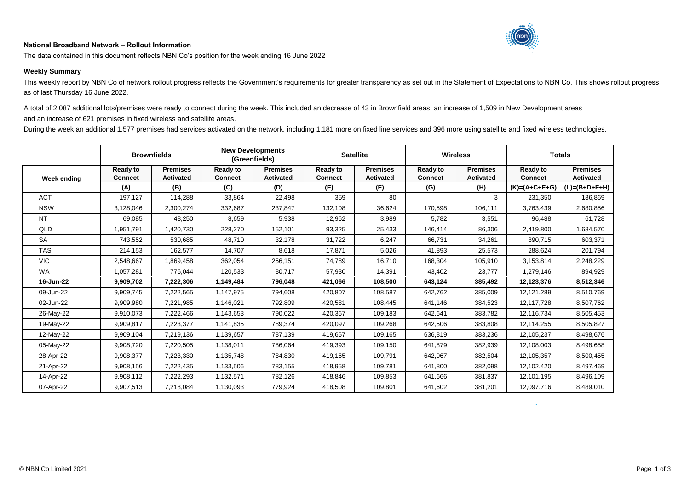## **National Broadband Network – Rollout Information**



The data contained in this document reflects NBN Co's position for the week ending 16 June 2022

## **Weekly Summary**

This weekly report by NBN Co of network rollout progress reflects the Government's requirements for greater transparency as set out in the Statement of Expectations to NBN Co. This shows rollout progress as of last Thursday 16 June 2022.

A total of 2,087 additional lots/premises were ready to connect during the week. This included an decrease of 43 in Brownfield areas, an increase of 1,509 in New Development areas and an increase of 621 premises in fixed wireless and satellite areas.

During the week an additional 1,577 premises had services activated on the network, including 1,181 more on fixed line services and 396 more using satellite and fixed wireless technologies.

|             | <b>Brownfields</b>                       |                                            | <b>New Developments</b><br>(Greenfields) |                                            | <b>Satellite</b>                         |                                            | <b>Wireless</b>                          |                                            | <b>Totals</b>                                        |                                                        |
|-------------|------------------------------------------|--------------------------------------------|------------------------------------------|--------------------------------------------|------------------------------------------|--------------------------------------------|------------------------------------------|--------------------------------------------|------------------------------------------------------|--------------------------------------------------------|
| Week ending | <b>Ready to</b><br><b>Connect</b><br>(A) | <b>Premises</b><br><b>Activated</b><br>(B) | <b>Ready to</b><br><b>Connect</b><br>(C) | <b>Premises</b><br><b>Activated</b><br>(D) | <b>Ready to</b><br><b>Connect</b><br>(E) | <b>Premises</b><br><b>Activated</b><br>(F) | <b>Ready to</b><br><b>Connect</b><br>(G) | <b>Premises</b><br><b>Activated</b><br>(H) | <b>Ready to</b><br><b>Connect</b><br>$(K)=(A+C+E+G)$ | <b>Premises</b><br><b>Activated</b><br>$(L)=(B+D+F+H)$ |
| <b>ACT</b>  | 197,127                                  | 114,288                                    | 33,864                                   | 22,498                                     | 359                                      | 80                                         |                                          | 3                                          | 231,350                                              | 136,869                                                |
| <b>NSW</b>  | 3,128,046                                | 2,300,274                                  | 332,687                                  | 237,847                                    | 132,108                                  | 36,624                                     | 170,598                                  | 106,111                                    | 3,763,439                                            | 2,680,856                                              |
| <b>NT</b>   | 69,085                                   | 48,250                                     | 8,659                                    | 5,938                                      | 12,962                                   | 3,989                                      | 5,782                                    | 3,551                                      | 96,488                                               | 61,728                                                 |
| QLD         | 1,951,791                                | 1,420,730                                  | 228,270                                  | 152,101                                    | 93,325                                   | 25,433                                     | 146,414                                  | 86,306                                     | 2,419,800                                            | 1,684,570                                              |
| <b>SA</b>   | 743,552                                  | 530,685                                    | 48,710                                   | 32,178                                     | 31,722                                   | 6,247                                      | 66,731                                   | 34,261                                     | 890,715                                              | 603,371                                                |
| <b>TAS</b>  | 214,153                                  | 162,577                                    | 14,707                                   | 8,618                                      | 17,871                                   | 5,026                                      | 41,893                                   | 25,573                                     | 288,624                                              | 201,794                                                |
| <b>VIC</b>  | 2,548,667                                | 1,869,458                                  | 362,054                                  | 256,151                                    | 74,789                                   | 16,710                                     | 168,304                                  | 105,910                                    | 3,153,814                                            | 2,248,229                                              |
| <b>WA</b>   | 1,057,281                                | 776,044                                    | 120,533                                  | 80,717                                     | 57,930                                   | 14,391                                     | 43,402                                   | 23,777                                     | 1,279,146                                            | 894,929                                                |
| 16-Jun-22   | 9,909,702                                | 7,222,306                                  | 1,149,484                                | 796,048                                    | 421,066                                  | 108,500                                    | 643,124                                  | 385,492                                    | 12,123,376                                           | 8,512,346                                              |
| 09-Jun-22   | 9,909,745                                | 7,222,565                                  | 1,147,975                                | 794,608                                    | 420,807                                  | 108.587                                    | 642,762                                  | 385.009                                    | 12,121,289                                           | 8,510,769                                              |
| 02-Jun-22   | 9,909,980                                | 7,221,985                                  | 1,146,021                                | 792,809                                    | 420,581                                  | 108,445                                    | 641,146                                  | 384,523                                    | 12,117,728                                           | 8,507,762                                              |
| 26-May-22   | 9,910,073                                | 7,222,466                                  | 1,143,653                                | 790,022                                    | 420,367                                  | 109,183                                    | 642,641                                  | 383,782                                    | 12,116,734                                           | 8,505,453                                              |
| 19-May-22   | 9,909,817                                | 7,223,377                                  | 1,141,835                                | 789,374                                    | 420,097                                  | 109,268                                    | 642,506                                  | 383,808                                    | 12,114,255                                           | 8,505,827                                              |
| 12-May-22   | 9,909,104                                | 7,219,136                                  | 1,139,657                                | 787,139                                    | 419,657                                  | 109,165                                    | 636,819                                  | 383,236                                    | 12,105,237                                           | 8,498,676                                              |
| 05-May-22   | 9,908,720                                | 7,220,505                                  | 1,138,011                                | 786,064                                    | 419,393                                  | 109,150                                    | 641,879                                  | 382,939                                    | 12,108,003                                           | 8,498,658                                              |
| 28-Apr-22   | 9,908,377                                | 7,223,330                                  | 1,135,748                                | 784,830                                    | 419,165                                  | 109,791                                    | 642,067                                  | 382,504                                    | 12,105,357                                           | 8,500,455                                              |
| 21-Apr-22   | 9,908,156                                | 7,222,435                                  | 1,133,506                                | 783,155                                    | 418,958                                  | 109,781                                    | 641,800                                  | 382,098                                    | 12,102,420                                           | 8,497,469                                              |
| 14-Apr-22   | 9,908,112                                | 7,222,293                                  | 1,132,571                                | 782,126                                    | 418,846                                  | 109,853                                    | 641,666                                  | 381,837                                    | 12,101,195                                           | 8,496,109                                              |
| 07-Apr-22   | 9,907,513                                | 7,218,084                                  | 1,130,093                                | 779,924                                    | 418,508                                  | 109,801                                    | 641,602                                  | 381,201                                    | 12,097,716                                           | 8,489,010                                              |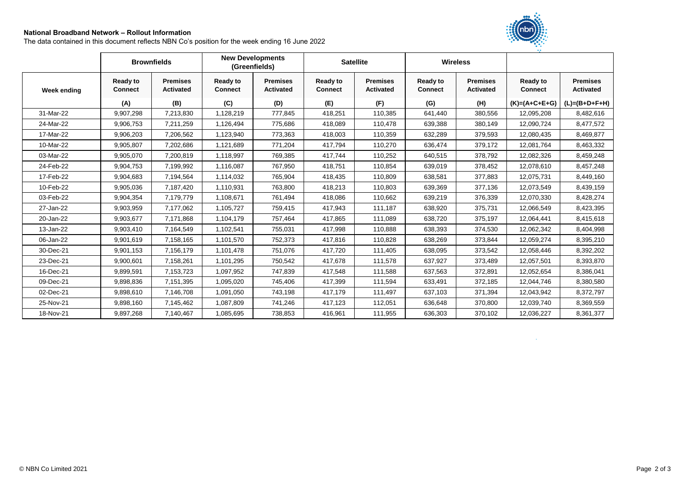## **National Broadband Network – Rollout Information**

The data contained in this document reflects NBN Co's position for the week ending 16 June 2022



|             |                                   | <b>Brownfields</b>                  |                                   | <b>New Developments</b><br>(Greenfields) |                                   | <b>Satellite</b>                    |                                   | <b>Wireless</b>                     |                                   |                                     |
|-------------|-----------------------------------|-------------------------------------|-----------------------------------|------------------------------------------|-----------------------------------|-------------------------------------|-----------------------------------|-------------------------------------|-----------------------------------|-------------------------------------|
| Week ending | <b>Ready to</b><br><b>Connect</b> | <b>Premises</b><br><b>Activated</b> | <b>Ready to</b><br><b>Connect</b> | <b>Premises</b><br><b>Activated</b>      | <b>Ready to</b><br><b>Connect</b> | <b>Premises</b><br><b>Activated</b> | <b>Ready to</b><br><b>Connect</b> | <b>Premises</b><br><b>Activated</b> | <b>Ready to</b><br><b>Connect</b> | <b>Premises</b><br><b>Activated</b> |
|             | (A)                               | (B)                                 | (C)                               | (D)                                      | (E)                               | (F)                                 | (G)                               | (H)                                 | $(K)=(A+C+E+G)$                   | $(L)=(B+D+F+H)$                     |
| 31-Mar-22   | 9,907,298                         | 7,213,830                           | 1,128,219                         | 777,845                                  | 418,251                           | 110,385                             | 641,440                           | 380,556                             | 12,095,208                        | 8,482,616                           |
| 24-Mar-22   | 9,906,753                         | 7,211,259                           | 1,126,494                         | 775,686                                  | 418,089                           | 110,478                             | 639,388                           | 380,149                             | 12,090,724                        | 8,477,572                           |
| 17-Mar-22   | 9,906,203                         | 7,206,562                           | 1,123,940                         | 773,363                                  | 418,003                           | 110,359                             | 632,289                           | 379,593                             | 12,080,435                        | 8,469,877                           |
| 10-Mar-22   | 9,905,807                         | 7,202,686                           | 1,121,689                         | 771,204                                  | 417.794                           | 110,270                             | 636,474                           | 379,172                             | 12,081,764                        | 8,463,332                           |
| 03-Mar-22   | 9,905,070                         | 7,200,819                           | 1,118,997                         | 769,385                                  | 417,744                           | 110,252                             | 640,515                           | 378,792                             | 12,082,326                        | 8,459,248                           |
| 24-Feb-22   | 9,904,753                         | 7,199,992                           | 1,116,087                         | 767,950                                  | 418,751                           | 110,854                             | 639,019                           | 378,452                             | 12,078,610                        | 8,457,248                           |
| 17-Feb-22   | 9,904,683                         | 7,194,564                           | 1,114,032                         | 765,904                                  | 418,435                           | 110,809                             | 638,581                           | 377,883                             | 12,075,731                        | 8,449,160                           |
| 10-Feb-22   | 9,905,036                         | 7,187,420                           | 1,110,931                         | 763,800                                  | 418,213                           | 110,803                             | 639,369                           | 377,136                             | 12,073,549                        | 8,439,159                           |
| 03-Feb-22   | 9,904,354                         | 7,179,779                           | 1,108,671                         | 761,494                                  | 418,086                           | 110,662                             | 639,219                           | 376,339                             | 12,070,330                        | 8,428,274                           |
| 27-Jan-22   | 9,903,959                         | 7,177,062                           | 1,105,727                         | 759,415                                  | 417,943                           | 111,187                             | 638,920                           | 375,731                             | 12,066,549                        | 8,423,395                           |
| 20-Jan-22   | 9,903,677                         | 7,171,868                           | 1,104,179                         | 757,464                                  | 417,865                           | 111,089                             | 638,720                           | 375,197                             | 12,064,441                        | 8,415,618                           |
| 13-Jan-22   | 9,903,410                         | 7,164,549                           | 1,102,541                         | 755,031                                  | 417,998                           | 110,888                             | 638,393                           | 374,530                             | 12,062,342                        | 8,404,998                           |
| 06-Jan-22   | 9,901,619                         | 7,158,165                           | 1,101,570                         | 752,373                                  | 417,816                           | 110,828                             | 638,269                           | 373,844                             | 12,059,274                        | 8,395,210                           |
| 30-Dec-21   | 9,901,153                         | 7,156,179                           | 1,101,478                         | 751,076                                  | 417,720                           | 111,405                             | 638,095                           | 373,542                             | 12,058,446                        | 8,392,202                           |
| 23-Dec-21   | 9,900,601                         | 7,158,261                           | 1,101,295                         | 750,542                                  | 417,678                           | 111,578                             | 637,927                           | 373,489                             | 12,057,501                        | 8,393,870                           |
| 16-Dec-21   | 9,899,591                         | 7,153,723                           | 1,097,952                         | 747,839                                  | 417,548                           | 111,588                             | 637,563                           | 372,891                             | 12,052,654                        | 8,386,041                           |
| 09-Dec-21   | 9,898,836                         | 7,151,395                           | 1,095,020                         | 745,406                                  | 417,399                           | 111,594                             | 633,491                           | 372,185                             | 12,044,746                        | 8,380,580                           |
| 02-Dec-21   | 9,898,610                         | 7,146,708                           | 1,091,050                         | 743,198                                  | 417,179                           | 111,497                             | 637,103                           | 371,394                             | 12,043,942                        | 8,372,797                           |
| 25-Nov-21   | 9,898,160                         | 7,145,462                           | 1,087,809                         | 741,246                                  | 417,123                           | 112,051                             | 636,648                           | 370,800                             | 12,039,740                        | 8,369,559                           |
| 18-Nov-21   | 9,897,268                         | 7,140,467                           | 1,085,695                         | 738,853                                  | 416,961                           | 111,955                             | 636,303                           | 370,102                             | 12,036,227                        | 8,361,377                           |